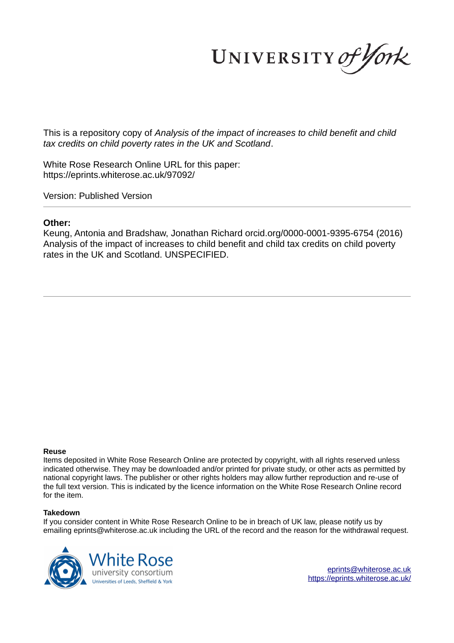UNIVERSITY of York

This is a repository copy of *Analysis of the impact of increases to child benefit and child tax credits on child poverty rates in the UK and Scotland*.

White Rose Research Online URL for this paper: https://eprints.whiterose.ac.uk/97092/

Version: Published Version

### **Other:**

Keung, Antonia and Bradshaw, Jonathan Richard orcid.org/0000-0001-9395-6754 (2016) Analysis of the impact of increases to child benefit and child tax credits on child poverty rates in the UK and Scotland. UNSPECIFIED.

#### **Reuse**

Items deposited in White Rose Research Online are protected by copyright, with all rights reserved unless indicated otherwise. They may be downloaded and/or printed for private study, or other acts as permitted by national copyright laws. The publisher or other rights holders may allow further reproduction and re-use of the full text version. This is indicated by the licence information on the White Rose Research Online record for the item.

#### **Takedown**

If you consider content in White Rose Research Online to be in breach of UK law, please notify us by emailing eprints@whiterose.ac.uk including the URL of the record and the reason for the withdrawal request.



eprints@whiterose.ac.uk https://eprints.whiterose.ac.uk/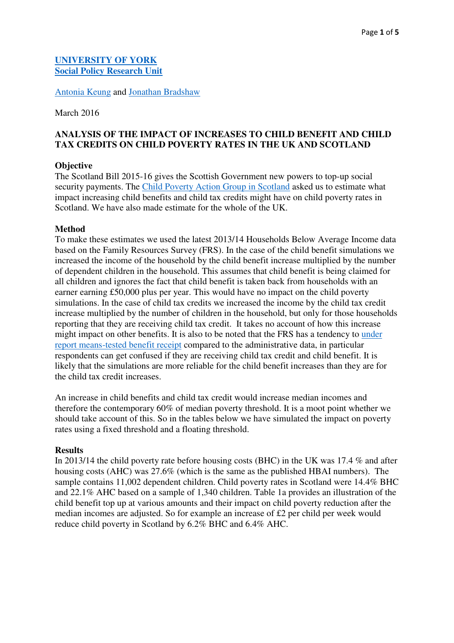## **[UNIVERSITY OF YORK](http://www.york.ac.uk/) [Social Policy Research Unit](http://www.york.ac.uk/inst/spru/)**

[Antonia Keung](http://www.york.ac.uk/spsw/staff/antonia-keung/) and [Jonathan Bradshaw](https://pure.york.ac.uk/portal/en/researchers/jonathan-richard-bradshaw(905fa104-a977-4863-83ff-cf28283fe3a2)/profile.html)

March 2016

# **ANALYSIS OF THE IMPACT OF INCREASES TO CHILD BENEFIT AND CHILD TAX CREDITS ON CHILD POVERTY RATES IN THE UK AND SCOTLAND**

## **Objective**

The Scotland Bill 2015-16 gives the Scottish Government new powers to top-up social security payments. The [Child Poverty Action Group in Scotland](http://www.cpag.org.uk/scotland) asked us to estimate what impact increasing child benefits and child tax credits might have on child poverty rates in Scotland. We have also made estimate for the whole of the UK.

## **Method**

To make these estimates we used the latest 2013/14 Households Below Average Income data based on the Family Resources Survey (FRS). In the case of the child benefit simulations we increased the income of the household by the child benefit increase multiplied by the number of dependent children in the household. This assumes that child benefit is being claimed for all children and ignores the fact that child benefit is taken back from households with an earner earning £50,000 plus per year. This would have no impact on the child poverty simulations. In the case of child tax credits we increased the income by the child tax credit increase multiplied by the number of children in the household, but only for those households reporting that they are receiving child tax credit. It takes no account of how this increase might impact on other benefits. It is also to be noted that the FRS has a tendency to [under](https://www.gov.uk/government/publications/state-benefits-on-the-family-resources-survey-wp115%20(accessed%20on%2009.03.2016))  [report means-tested benefit receipt](https://www.gov.uk/government/publications/state-benefits-on-the-family-resources-survey-wp115%20(accessed%20on%2009.03.2016)) compared to the administrative data, in particular respondents can get confused if they are receiving child tax credit and child benefit. It is likely that the simulations are more reliable for the child benefit increases than they are for the child tax credit increases.

An increase in child benefits and child tax credit would increase median incomes and therefore the contemporary 60% of median poverty threshold. It is a moot point whether we should take account of this. So in the tables below we have simulated the impact on poverty rates using a fixed threshold and a floating threshold.

## **Results**

In 2013/14 the child poverty rate before housing costs (BHC) in the UK was 17.4 % and after housing costs (AHC) was 27.6% (which is the same as the published HBAI numbers). The sample contains 11,002 dependent children. Child poverty rates in Scotland were 14.4% BHC and 22.1% AHC based on a sample of 1,340 children. Table 1a provides an illustration of the child benefit top up at various amounts and their impact on child poverty reduction after the median incomes are adjusted. So for example an increase of £2 per child per week would reduce child poverty in Scotland by 6.2% BHC and 6.4% AHC.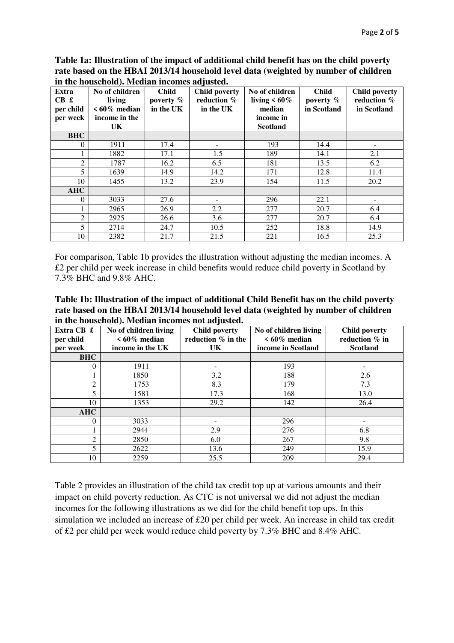**Table 1a: Illustration of the impact of additional child benefit has on the child poverty rate based on the HBAI 2013/14 household level data (weighted by number of children in the household). Median incomes adjusted.** 

| Extra<br>CB f<br>per child<br>per week | No of children<br>living<br>$\leq 60\%$ median<br>income in the<br>UK. | <b>Child</b><br>poverty $%$<br>in the UK | <b>Child poverty</b><br>reduction %<br>in the UK | No of children<br>living $< 60\%$<br>median<br>income in<br><b>Scotland</b> | <b>Child</b><br>poverty $%$<br>in Scotland | <b>Child poverty</b><br>reduction %<br>in Scotland |
|----------------------------------------|------------------------------------------------------------------------|------------------------------------------|--------------------------------------------------|-----------------------------------------------------------------------------|--------------------------------------------|----------------------------------------------------|
| <b>BHC</b>                             |                                                                        |                                          |                                                  |                                                                             |                                            |                                                    |
| $\theta$                               | 1911                                                                   | 17.4                                     |                                                  | 193                                                                         | 14.4                                       |                                                    |
|                                        | 1882                                                                   | 17.1                                     | 1.5                                              | 189                                                                         | 14.1                                       | 2.1                                                |
| $\overline{2}$                         | 1787                                                                   | 16.2                                     | 6.5                                              | 181                                                                         | 13.5                                       | 6.2                                                |
| 5                                      | 1639                                                                   | 14.9                                     | 14.2                                             | 171                                                                         | 12.8                                       | 11.4                                               |
| 10                                     | 1455                                                                   | 13.2                                     | 23.9                                             | 154                                                                         | 11.5                                       | 20.2                                               |
| <b>AHC</b>                             |                                                                        |                                          |                                                  |                                                                             |                                            |                                                    |
| $\theta$                               | 3033                                                                   | 27.6                                     |                                                  | 296                                                                         | 22.1                                       |                                                    |
|                                        | 2965                                                                   | 26.9                                     | $2.2\,$                                          | 277                                                                         | 20.7                                       | 6.4                                                |
| $\overline{2}$                         | 2925                                                                   | 26.6                                     | 3.6                                              | 277                                                                         | 20.7                                       | 6.4                                                |
| 5                                      | 2714                                                                   | 24.7                                     | 10.5                                             | 252                                                                         | 18.8                                       | 14.9                                               |
| 10                                     | 2382                                                                   | 21.7                                     | 21.5                                             | 221                                                                         | 16.5                                       | 25.3                                               |

For comparison, Table 1b provides the illustration without adjusting the median incomes. A £2 per child per week increase in child benefits would reduce child poverty in Scotland by 7.3% BHC and 9.8% AHC.

**Table 1b: Illustration of the impact of additional Child Benefit has on the child poverty rate based on the HBAI 2013/14 household level data (weighted by number of children in the household). Median incomes not adjusted.**

| Extra CB £<br>per child<br>per week | No of children living<br>$\leq 60\%$ median<br>income in the UK | <b>Child poverty</b><br>reduction % in the<br>UK. | No of children living<br>$\leq 60\%$ median<br>income in Scotland | <b>Child poverty</b><br>reduction % in<br><b>Scotland</b> |
|-------------------------------------|-----------------------------------------------------------------|---------------------------------------------------|-------------------------------------------------------------------|-----------------------------------------------------------|
| <b>BHC</b>                          |                                                                 |                                                   |                                                                   |                                                           |
| 0                                   | 1911                                                            |                                                   | 193                                                               |                                                           |
|                                     | 1850                                                            | 3.2                                               | 188                                                               | 2.6                                                       |
| 2                                   | 1753                                                            | 8.3                                               | 179                                                               | 7.3                                                       |
|                                     | 1581                                                            | 17.3                                              | 168                                                               | 13.0                                                      |
| 10                                  | 1353                                                            | 29.2                                              | 142                                                               | 26.4                                                      |
| <b>AHC</b>                          |                                                                 |                                                   |                                                                   |                                                           |
| 0                                   | 3033                                                            |                                                   | 296                                                               |                                                           |
|                                     | 2944                                                            | 2.9                                               | 276                                                               | 6.8                                                       |
| 2                                   | 2850                                                            | 6.0                                               | 267                                                               | 9.8                                                       |
|                                     | 2622                                                            | 13.6                                              | 249                                                               | 15.9                                                      |
| 10                                  | 2259                                                            | 25.5                                              | 209                                                               | 29.4                                                      |

Table 2 provides an illustration of the child tax credit top up at various amounts and their impact on child poverty reduction. As CTC is not universal we did not adjust the median incomes for the following illustrations as we did for the child benefit top ups. In this simulation we included an increase of £20 per child per week. An increase in child tax credit of £2 per child per week would reduce child poverty by 7.3% BHC and 8.4% AHC.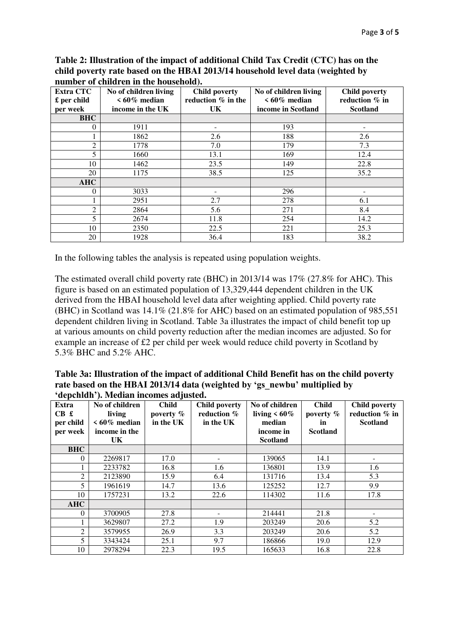**Table 2: Illustration of the impact of additional Child Tax Credit (CTC) has on the child poverty rate based on the HBAI 2013/14 household level data (weighted by number of children in the household).** 

| <b>Extra CTC</b><br>$\pounds$ per child<br>per week | No of children living<br>$<60\%$ median<br>income in the UK | <b>Child poverty</b><br>reduction % in the<br><b>UK</b> | No of children living<br>$\leq 60\%$ median<br>income in Scotland | <b>Child poverty</b><br>reduction % in<br><b>Scotland</b> |
|-----------------------------------------------------|-------------------------------------------------------------|---------------------------------------------------------|-------------------------------------------------------------------|-----------------------------------------------------------|
| <b>BHC</b>                                          |                                                             |                                                         |                                                                   |                                                           |
| 0                                                   | 1911                                                        | -                                                       | 193                                                               | -                                                         |
|                                                     | 1862                                                        | 2.6                                                     | 188                                                               | 2.6                                                       |
| 2                                                   | 1778                                                        | 7.0                                                     | 179                                                               | 7.3                                                       |
| 5                                                   | 1660                                                        | 13.1                                                    | 169                                                               | 12.4                                                      |
| 10                                                  | 1462                                                        | 23.5                                                    | 149                                                               | 22.8                                                      |
| 20                                                  | 1175                                                        | 38.5                                                    | 125                                                               | 35.2                                                      |
| <b>AHC</b>                                          |                                                             |                                                         |                                                                   |                                                           |
| 0                                                   | 3033                                                        |                                                         | 296                                                               |                                                           |
|                                                     | 2951                                                        | 2.7                                                     | 278                                                               | 6.1                                                       |
| 2                                                   | 2864                                                        | 5.6                                                     | 271                                                               | 8.4                                                       |
| 5                                                   | 2674                                                        | 11.8                                                    | 254                                                               | 14.2                                                      |
| 10                                                  | 2350                                                        | 22.5                                                    | 221                                                               | 25.3                                                      |
| 20                                                  | 1928                                                        | 36.4                                                    | 183                                                               | 38.2                                                      |

In the following tables the analysis is repeated using population weights.

The estimated overall child poverty rate (BHC) in 2013/14 was 17% (27.8% for AHC). This figure is based on an estimated population of 13,329,444 dependent children in the UK derived from the HBAI household level data after weighting applied. Child poverty rate (BHC) in Scotland was 14.1% (21.8% for AHC) based on an estimated population of 985,551 dependent children living in Scotland. Table 3a illustrates the impact of child benefit top up at various amounts on child poverty reduction after the median incomes are adjusted. So for example an increase of £2 per child per week would reduce child poverty in Scotland by 5.3% BHC and 5.2% AHC.

| Table 3a: Illustration of the impact of additional Child Benefit has on the child poverty |
|-------------------------------------------------------------------------------------------|
| rate based on the HBAI 2013/14 data (weighted by 'gs newbu' multiplied by                 |
| 'depchldh'). Median incomes adjusted.                                                     |

| Extra<br>CB f<br>per child<br>per week | No of children<br>living<br>$\leq 60\%$ median<br>income in the<br>UK. | <b>Child</b><br>poverty %<br>in the UK | <b>Child poverty</b><br>reduction %<br>in the UK | No of children<br>living $< 60\%$<br>median<br>income in<br><b>Scotland</b> | <b>Child</b><br>poverty %<br>in<br><b>Scotland</b> | <b>Child poverty</b><br>reduction % in<br><b>Scotland</b> |
|----------------------------------------|------------------------------------------------------------------------|----------------------------------------|--------------------------------------------------|-----------------------------------------------------------------------------|----------------------------------------------------|-----------------------------------------------------------|
| <b>BHC</b>                             |                                                                        |                                        |                                                  |                                                                             |                                                    |                                                           |
| $\Omega$                               | 2269817                                                                | 17.0                                   |                                                  | 139065                                                                      | 14.1                                               |                                                           |
|                                        | 2233782                                                                | 16.8                                   | 1.6                                              | 136801                                                                      | 13.9                                               | 1.6                                                       |
| 2                                      | 2123890                                                                | 15.9                                   | 6.4                                              | 131716                                                                      | 13.4                                               | 5.3                                                       |
| 5                                      | 1961619                                                                | 14.7                                   | 13.6                                             | 125252                                                                      | 12.7                                               | 9.9                                                       |
| 10                                     | 1757231                                                                | 13.2                                   | 22.6                                             | 114302                                                                      | 11.6                                               | 17.8                                                      |
| <b>AHC</b>                             |                                                                        |                                        |                                                  |                                                                             |                                                    |                                                           |
| $\Omega$                               | 3700905                                                                | 27.8                                   |                                                  | 214441                                                                      | 21.8                                               |                                                           |
|                                        | 3629807                                                                | 27.2                                   | 1.9                                              | 203249                                                                      | 20.6                                               | 5.2                                                       |
| 2                                      | 3579955                                                                | 26.9                                   | 3.3                                              | 203249                                                                      | 20.6                                               | 5.2                                                       |
| 5                                      | 3343424                                                                | 25.1                                   | 9.7                                              | 186866                                                                      | 19.0                                               | 12.9                                                      |
| 10                                     | 2978294                                                                | 22.3                                   | 19.5                                             | 165633                                                                      | 16.8                                               | 22.8                                                      |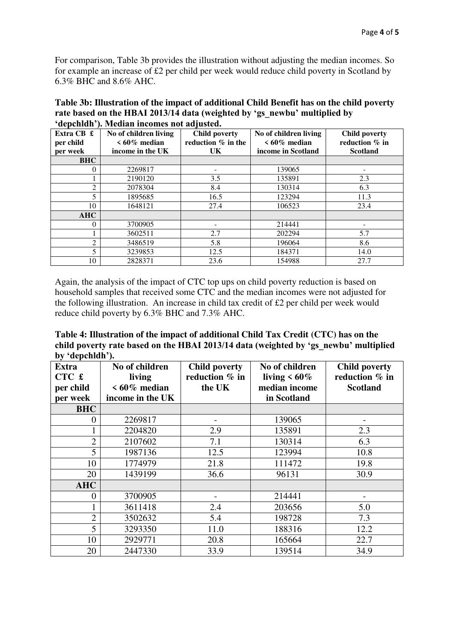For comparison, Table 3b provides the illustration without adjusting the median incomes. So for example an increase of £2 per child per week would reduce child poverty in Scotland by 6.3% BHC and 8.6% AHC.

| Table 3b: Illustration of the impact of additional Child Benefit has on the child poverty |
|-------------------------------------------------------------------------------------------|
| rate based on the HBAI 2013/14 data (weighted by 'gs newbu' multiplied by                 |
| 'depchldh'). Median incomes not adjusted.                                                 |

| Extra CB £<br>per child<br>per week | No of children living<br>$\leq 60\%$ median<br>income in the UK | <b>Child poverty</b><br>reduction $%$ in the<br>UK | No of children living<br>$\leq 60\%$ median<br>income in Scotland | <b>Child poverty</b><br>reduction % in<br><b>Scotland</b> |
|-------------------------------------|-----------------------------------------------------------------|----------------------------------------------------|-------------------------------------------------------------------|-----------------------------------------------------------|
| <b>BHC</b>                          |                                                                 |                                                    |                                                                   |                                                           |
| $\Omega$                            | 2269817                                                         |                                                    | 139065                                                            |                                                           |
|                                     | 2190120                                                         | 3.5                                                | 135891                                                            | 2.3                                                       |
| $\overline{2}$                      | 2078304                                                         | 8.4                                                | 130314                                                            | 6.3                                                       |
| 5                                   | 1895685                                                         | 16.5                                               | 123294                                                            | 11.3                                                      |
| 10                                  | 1648121                                                         | 27.4                                               | 106523                                                            | 23.4                                                      |
| <b>AHC</b>                          |                                                                 |                                                    |                                                                   |                                                           |
| 0                                   | 3700905                                                         |                                                    | 214441                                                            | -                                                         |
|                                     | 3602511                                                         | 2.7                                                | 202294                                                            | 5.7                                                       |
| $\mathcal{D}_{\mathcal{L}}$         | 3486519                                                         | 5.8                                                | 196064                                                            | 8.6                                                       |
| 5                                   | 3239853                                                         | 12.5                                               | 184371                                                            | 14.0                                                      |
| 10                                  | 2828371                                                         | 23.6                                               | 154988                                                            | 27.7                                                      |

Again, the analysis of the impact of CTC top ups on child poverty reduction is based on household samples that received some CTC and the median incomes were not adjusted for the following illustration. An increase in child tax credit of £2 per child per week would reduce child poverty by 6.3% BHC and 7.3% AHC.

**Table 4: Illustration of the impact of additional Child Tax Credit (CTC) has on the child poverty rate based on the HBAI 2013/14 data (weighted by 'gs\_newbu' multiplied by 'depchldh').** 

| $\sim$ $\sim$ $\sim$ $\sim$ $\sim$ $\sim$ $\sim$ $\sim$<br><b>Extra</b> | No of children   | <b>Child poverty</b> | No of children     | <b>Child poverty</b>     |
|-------------------------------------------------------------------------|------------------|----------------------|--------------------|--------------------------|
| CTC £                                                                   | living           | reduction % in       | living $\leq 60\%$ | reduction % in           |
| per child                                                               | $<60\%$ median   | the UK               | median income      | <b>Scotland</b>          |
| per week                                                                | income in the UK |                      | in Scotland        |                          |
| <b>BHC</b>                                                              |                  |                      |                    |                          |
| $\boldsymbol{0}$                                                        | 2269817          |                      | 139065             |                          |
|                                                                         | 2204820          | 2.9                  | 135891             | 2.3                      |
| $\overline{2}$                                                          | 2107602          | 7.1                  | 130314             | 6.3                      |
| 5                                                                       | 1987136          | 12.5                 | 123994             | 10.8                     |
| 10                                                                      | 1774979          | 21.8                 | 111472             | 19.8                     |
| 20                                                                      | 1439199          | 36.6                 | 96131              | 30.9                     |
| <b>AHC</b>                                                              |                  |                      |                    |                          |
| 0                                                                       | 3700905          |                      | 214441             | $\overline{\phantom{0}}$ |
| 1                                                                       | 3611418          | 2.4                  | 203656             | 5.0                      |
| $\overline{2}$                                                          | 3502632          | 5.4                  | 198728             | 7.3                      |
| 5                                                                       | 3293350          | 11.0                 | 188316             | 12.2                     |
| 10                                                                      | 2929771          | 20.8                 | 165664             | 22.7                     |
| 20                                                                      | 2447330          | 33.9                 | 139514             | 34.9                     |